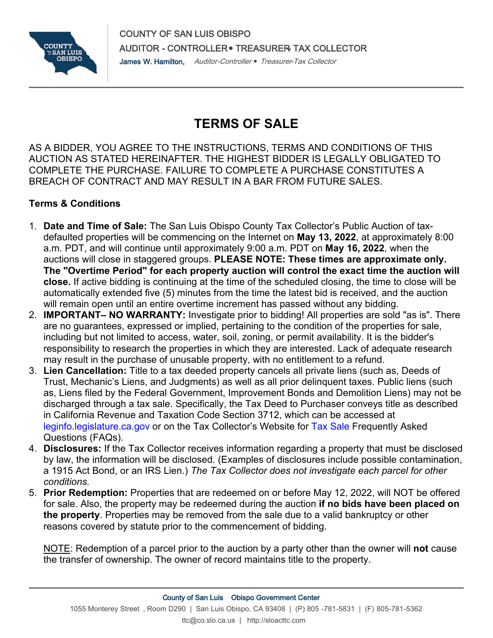

## **TERMS OF SALE**

AS A BIDDER, YOU AGREE TO THE INSTRUCTIONS, TERMS AND CONDITIONS OF THIS AUCTION AS STATED HEREINAFTER. THE HIGHEST BIDDER IS LEGALLY OBLIGATED TO COMPLETE THE PURCHASE. FAILURE TO COMPLETE A PURCHASE CONSTITUTES A BREACH OF CONTRACT AND MAY RESULT IN A BAR FROM FUTURE SALES.

## **Terms & Conditions**

- 1. **Date and Time of Sale:** The San Luis Obispo County Tax Collector's Public Auction of taxdefaulted properties will be commencing on the Internet on **May 13, 2022**, at approximately 8:00 a.m. PDT, and will continue until approximately 9:00 a.m. PDT on **May 16, 2022**, when the auctions will close in staggered groups. **PLEASE NOTE: These times are approximate only. The "Overtime Period" for each property auction will control the exact time the auction will close.** If active bidding is continuing at the time of the scheduled closing, the time to close will be automatically extended five (5) minutes from the time the latest bid is received, and the auction will remain open until an entire overtime increment has passed without any bidding.
- 2. **IMPORTANT– NO WARRANTY:** Investigate prior to bidding! All properties are sold "as is". There are no guarantees, expressed or implied, pertaining to the condition of the properties for sale, including but not limited to access, water, soil, zoning, or permit availability. It is the bidder's responsibility to research the properties in which they are interested. Lack of adequate research may result in the purchase of unusable property, with no entitlement to a refund.
- 3. **Lien Cancellation:** Title to a tax deeded property cancels all private liens (such as, Deeds of Trust, Mechanic's Liens, and Judgments) as well as all prior delinquent taxes. Public liens (such as, Liens filed by the Federal Government, Improvement Bonds and Demolition Liens) may not be discharged through a tax sale. Specifically, the Tax Deed to Purchaser conveys title as described in California Revenue and Taxation Code Section 3712, which can be accessed at [leginfo.legislature.ca.gov](http://leginfo.legislature.ca.gov/faces/codes_displaySection.xhtml?lawCode=RTC§ionNum=3712.) or on the Tax Collector's Website for [Tax Sale](https://www.slocounty.ca.gov/Departments/Auditor-Controller-Treasurer-Tax-Collector/Tax-Collector/Services/Public-Auction-of-Tax-Defaulted-Property.aspx) Frequently Asked Questions (FAQs).
- 4. **Disclosures:** If the Tax Collector receives information regarding a property that must be disclosed by law, the information will be disclosed. (Examples of disclosures include possible contamination, a 1915 Act Bond, or an IRS Lien.) *The Tax Collector does not investigate each parcel for other conditions.*
- 5. **Prior Redemption:** Properties that are redeemed on or before May 12, 2022, will NOT be offered for sale. Also, the property may be redeemed during the auction **if no bids have been placed on the property**. Properties may be removed from the sale due to a valid bankruptcy or other reasons covered by statute prior to the commencement of bidding.

NOTE: Redemption of a parcel prior to the auction by a party other than the owner will **not** cause the transfer of ownership. The owner of record maintains title to the property.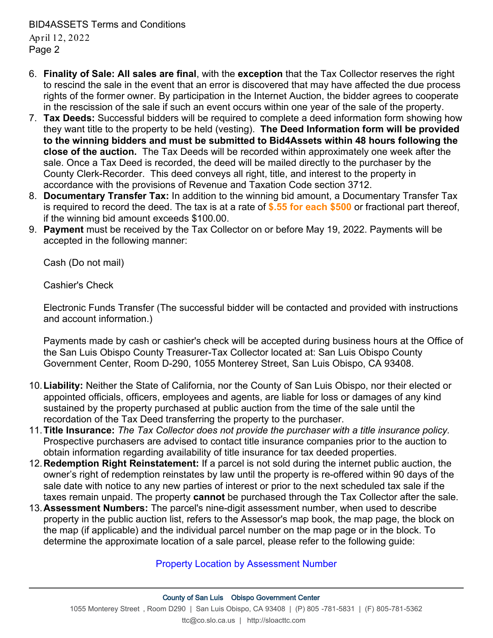BID4ASSETS Terms and Conditions April 12, 2022 Page 2

- 6. **Finality of Sale: All sales are final**, with the **exception** that the Tax Collector reserves the right to rescind the sale in the event that an error is discovered that may have affected the due process rights of the former owner. By participation in the Internet Auction, the bidder agrees to cooperate in the rescission of the sale if such an event occurs within one year of the sale of the property.
- 7. **Tax Deeds:** Successful bidders will be required to complete a deed information form showing how they want title to the property to be held (vesting). **The Deed Information form will be provided to the winning bidders and must be submitted to Bid4Assets within 48 hours following the close of the auction.** The Tax Deeds will be recorded within approximately one week after the sale. Once a Tax Deed is recorded, the deed will be mailed directly to the purchaser by the County Clerk-Recorder. This deed conveys all right, title, and interest to the property in accordance with the provisions of Revenue and Taxation Code section 3712.
- 8. **Documentary Transfer Tax:** In addition to the winning bid amount, a Documentary Transfer Tax is required to record the deed. The tax is at a rate of **\$.55 for each \$500** or fractional part thereof, if the winning bid amount exceeds \$100.00.
- 9. **Payment** must be received by the Tax Collector on or before May 19, 2022. Payments will be accepted in the following manner:

Cash (Do not mail)

Cashier's Check

Electronic Funds Transfer (The successful bidder will be contacted and provided with instructions and account information.)

Payments made by cash or cashier's check will be accepted during business hours at the Office of the San Luis Obispo County Treasurer-Tax Collector located at: San Luis Obispo County Government Center, Room D-290, 1055 Monterey Street, San Luis Obispo, CA 93408.

- 10.**Liability:** Neither the State of California, nor the County of San Luis Obispo, nor their elected or appointed officials, officers, employees and agents, are liable for loss or damages of any kind sustained by the property purchased at public auction from the time of the sale until the recordation of the Tax Deed transferring the property to the purchaser.
- 11.**Title Insurance:** *The Tax Collector does not provide the purchaser with a title insurance policy.* Prospective purchasers are advised to contact title insurance companies prior to the auction to obtain information regarding availability of title insurance for tax deeded properties.
- 12.**Redemption Right Reinstatement:** If a parcel is not sold during the internet public auction, the owner's right of redemption reinstates by law until the property is re-offered within 90 days of the sale date with notice to any new parties of interest or prior to the next scheduled tax sale if the taxes remain unpaid. The property **cannot** be purchased through the Tax Collector after the sale.
- 13.**Assessment Numbers:** The parcel's nine-digit assessment number, when used to describe property in the public auction list, refers to the Assessor's map book, the map page, the block on the map (if applicable) and the individual parcel number on the map page or in the block. To determine the approximate location of a sale parcel, please refer to the following guide:

## [Property Location by Assessment Number](https://www.slocounty.ca.gov/Departments/Auditor-Controller-Treasurer-Tax-Collector/Tax-Collector/Services/Property-Taxes-Secured/Property-Location-by-Assessment-Number.aspx)